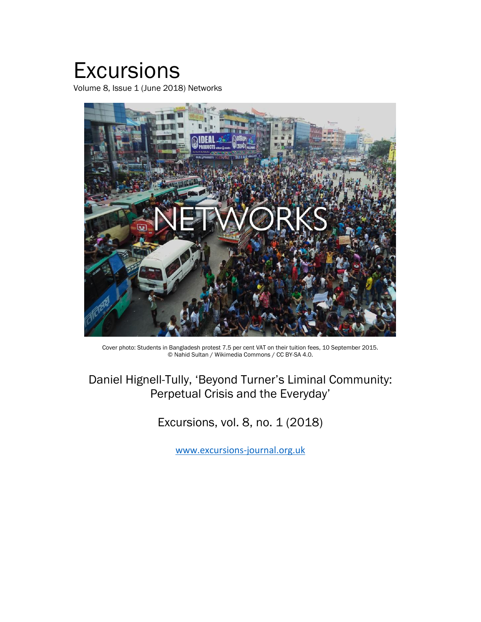# **Excursions**

Volume 8, Issue 1 (June 2018) Networks



Cover photo: Students in Bangladesh protest 7.5 per cent VAT on their tuition fees, 10 September 2015. © Nahid Sultan / Wikimedia Commons / CC BY-SA 4.0.

## Daniel Hignell-Tully, 'Beyond Turner's Liminal Community: Perpetual Crisis and the Everyday'

Excursions, vol. 8, no. 1 (2018)

www.excursions-journal.org.uk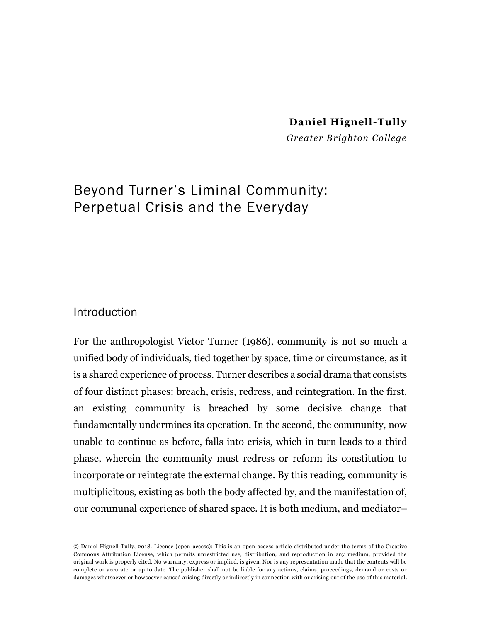#### **Daniel Hignell-Tully**

*Greater Brighton College*

## Beyond Turner's Liminal Community: Perpetual Crisis and the Everyday

#### **Introduction**

For the anthropologist Victor Turner (1986), community is not so much a unified body of individuals, tied together by space, time or circumstance, as it is a shared experience of process. Turner describes a social drama that consists of four distinct phases: breach, crisis, redress, and reintegration. In the first, an existing community is breached by some decisive change that fundamentally undermines its operation. In the second, the community, now unable to continue as before, falls into crisis, which in turn leads to a third phase, wherein the community must redress or reform its constitution to incorporate or reintegrate the external change. By this reading, community is multiplicitous, existing as both the body affected by, and the manifestation of, our communal experience of shared space. It is both medium, and mediator–

© Daniel Hignell-Tully, 2018. License (open-access): This is an open-access article distributed under the terms of the Creative Commons Attribution License, which permits unrestricted use, distribution, and reproduction in any medium, provided the original work is properly cited. No warranty, express or implied, is given. Nor is any representation made that the contents will be complete or accurate or up to date. The publisher shall not be liable for any actions, claims, proceedings, demand or costs o r damages whatsoever or howsoever caused arising directly or indirectly in connection with or arising out of the use of this material.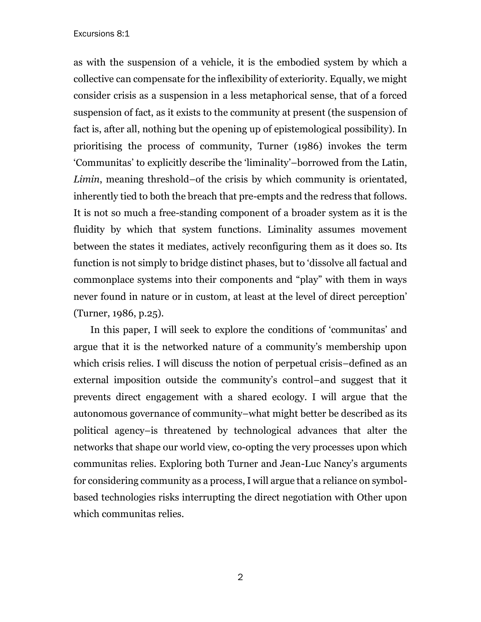#### Excursions 8:1

as with the suspension of a vehicle, it is the embodied system by which a collective can compensate for the inflexibility of exteriority. Equally, we might consider crisis as a suspension in a less metaphorical sense, that of a forced suspension of fact, as it exists to the community at present (the suspension of fact is, after all, nothing but the opening up of epistemological possibility). In prioritising the process of community, Turner (1986) invokes the term 'Communitas' to explicitly describe the 'liminality'–borrowed from the Latin, *Limin*, meaning threshold–of the crisis by which community is orientated, inherently tied to both the breach that pre-empts and the redress that follows. It is not so much a free-standing component of a broader system as it is the fluidity by which that system functions. Liminality assumes movement between the states it mediates, actively reconfiguring them as it does so. Its function is not simply to bridge distinct phases, but to 'dissolve all factual and commonplace systems into their components and "play" with them in ways never found in nature or in custom, at least at the level of direct perception' (Turner, 1986, p.25).

In this paper, I will seek to explore the conditions of 'communitas' and argue that it is the networked nature of a community's membership upon which crisis relies. I will discuss the notion of perpetual crisis–defined as an external imposition outside the community's control–and suggest that it prevents direct engagement with a shared ecology. I will argue that the autonomous governance of community–what might better be described as its political agency–is threatened by technological advances that alter the networks that shape our world view, co-opting the very processes upon which communitas relies. Exploring both Turner and Jean-Luc Nancy's arguments for considering community as a process, I will argue that a reliance on symbolbased technologies risks interrupting the direct negotiation with Other upon which communitas relies.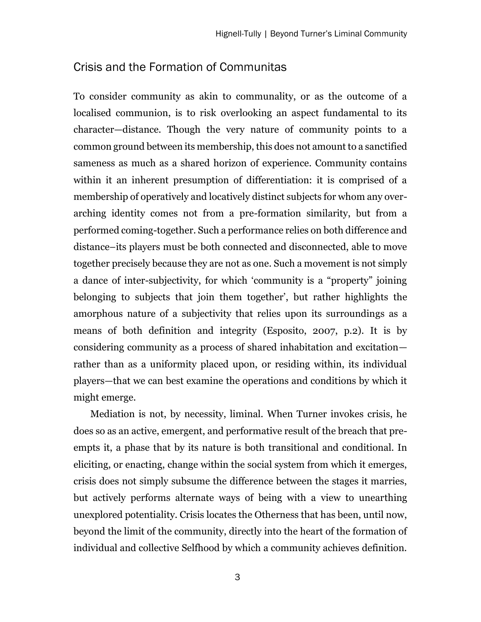#### Crisis and the Formation of Communitas

To consider community as akin to communality, or as the outcome of a localised communion, is to risk overlooking an aspect fundamental to its character—distance. Though the very nature of community points to a common ground between its membership, this does not amount to a sanctified sameness as much as a shared horizon of experience. Community contains within it an inherent presumption of differentiation: it is comprised of a membership of operatively and locatively distinct subjects for whom any overarching identity comes not from a pre-formation similarity, but from a performed coming-together. Such a performance relies on both difference and distance–its players must be both connected and disconnected, able to move together precisely because they are not as one. Such a movement is not simply a dance of inter-subjectivity, for which 'community is a "property" joining belonging to subjects that join them together', but rather highlights the amorphous nature of a subjectivity that relies upon its surroundings as a means of both definition and integrity (Esposito, 2007, p.2). It is by considering community as a process of shared inhabitation and excitation rather than as a uniformity placed upon, or residing within, its individual players—that we can best examine the operations and conditions by which it might emerge.

Mediation is not, by necessity, liminal. When Turner invokes crisis, he does so as an active, emergent, and performative result of the breach that preempts it, a phase that by its nature is both transitional and conditional. In eliciting, or enacting, change within the social system from which it emerges, crisis does not simply subsume the difference between the stages it marries, but actively performs alternate ways of being with a view to unearthing unexplored potentiality. Crisis locates the Otherness that has been, until now, beyond the limit of the community, directly into the heart of the formation of individual and collective Selfhood by which a community achieves definition.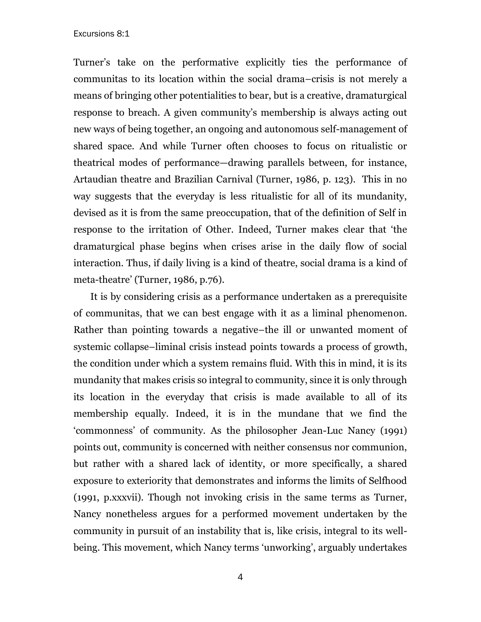Turner's take on the performative explicitly ties the performance of communitas to its location within the social drama–crisis is not merely a means of bringing other potentialities to bear, but is a creative, dramaturgical response to breach. A given community's membership is always acting out new ways of being together, an ongoing and autonomous self-management of shared space. And while Turner often chooses to focus on ritualistic or theatrical modes of performance—drawing parallels between, for instance, Artaudian theatre and Brazilian Carnival (Turner, 1986, p. 123). This in no way suggests that the everyday is less ritualistic for all of its mundanity, devised as it is from the same preoccupation, that of the definition of Self in response to the irritation of Other. Indeed, Turner makes clear that 'the dramaturgical phase begins when crises arise in the daily flow of social interaction. Thus, if daily living is a kind of theatre, social drama is a kind of meta-theatre' (Turner, 1986, p.76).

It is by considering crisis as a performance undertaken as a prerequisite of communitas, that we can best engage with it as a liminal phenomenon. Rather than pointing towards a negative–the ill or unwanted moment of systemic collapse–liminal crisis instead points towards a process of growth, the condition under which a system remains fluid. With this in mind, it is its mundanity that makes crisis so integral to community, since it is only through its location in the everyday that crisis is made available to all of its membership equally. Indeed, it is in the mundane that we find the 'commonness' of community. As the philosopher Jean-Luc Nancy (1991) points out, community is concerned with neither consensus nor communion, but rather with a shared lack of identity, or more specifically, a shared exposure to exteriority that demonstrates and informs the limits of Selfhood (1991, p.xxxvii). Though not invoking crisis in the same terms as Turner, Nancy nonetheless argues for a performed movement undertaken by the community in pursuit of an instability that is, like crisis, integral to its wellbeing. This movement, which Nancy terms 'unworking', arguably undertakes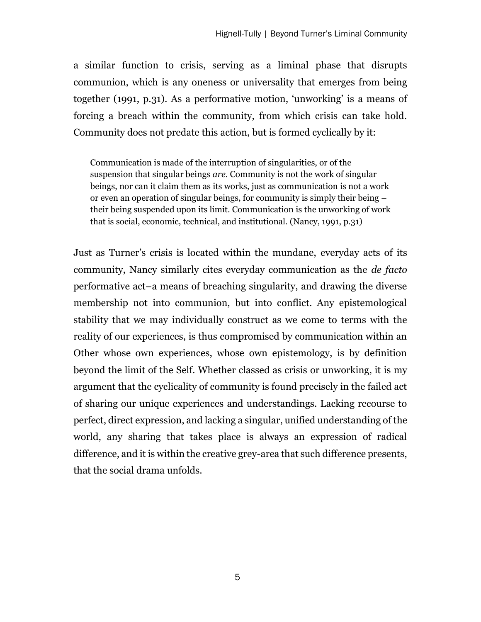a similar function to crisis, serving as a liminal phase that disrupts communion, which is any oneness or universality that emerges from being together (1991, p.31). As a performative motion, 'unworking' is a means of forcing a breach within the community, from which crisis can take hold. Community does not predate this action, but is formed cyclically by it:

Communication is made of the interruption of singularities, or of the suspension that singular beings *are*. Community is not the work of singular beings, nor can it claim them as its works, just as communication is not a work or even an operation of singular beings, for community is simply their being – their being suspended upon its limit. Communication is the unworking of work that is social, economic, technical, and institutional. (Nancy, 1991, p.31)

Just as Turner's crisis is located within the mundane, everyday acts of its community, Nancy similarly cites everyday communication as the *de facto* performative act–a means of breaching singularity, and drawing the diverse membership not into communion, but into conflict. Any epistemological stability that we may individually construct as we come to terms with the reality of our experiences, is thus compromised by communication within an Other whose own experiences, whose own epistemology, is by definition beyond the limit of the Self. Whether classed as crisis or unworking, it is my argument that the cyclicality of community is found precisely in the failed act of sharing our unique experiences and understandings. Lacking recourse to perfect, direct expression, and lacking a singular, unified understanding of the world, any sharing that takes place is always an expression of radical difference, and it is within the creative grey-area that such difference presents, that the social drama unfolds.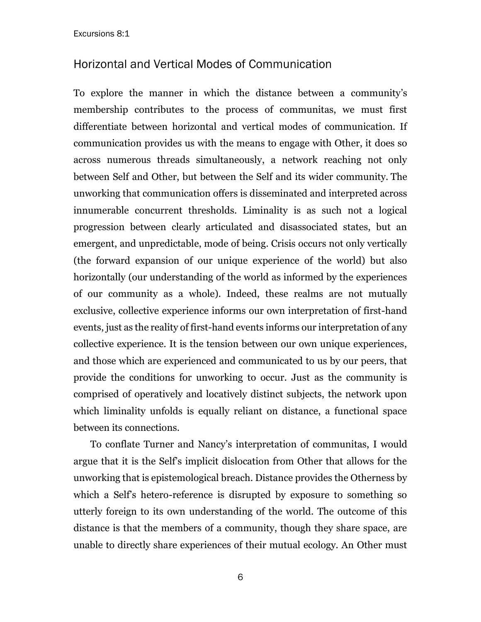### Horizontal and Vertical Modes of Communication

To explore the manner in which the distance between a community's membership contributes to the process of communitas, we must first differentiate between horizontal and vertical modes of communication. If communication provides us with the means to engage with Other, it does so across numerous threads simultaneously, a network reaching not only between Self and Other, but between the Self and its wider community. The unworking that communication offers is disseminated and interpreted across innumerable concurrent thresholds. Liminality is as such not a logical progression between clearly articulated and disassociated states, but an emergent, and unpredictable, mode of being. Crisis occurs not only vertically (the forward expansion of our unique experience of the world) but also horizontally (our understanding of the world as informed by the experiences of our community as a whole). Indeed, these realms are not mutually exclusive, collective experience informs our own interpretation of first-hand events, just as the reality of first-hand events informs our interpretation of any collective experience. It is the tension between our own unique experiences, and those which are experienced and communicated to us by our peers, that provide the conditions for unworking to occur. Just as the community is comprised of operatively and locatively distinct subjects, the network upon which liminality unfolds is equally reliant on distance, a functional space between its connections.

To conflate Turner and Nancy's interpretation of communitas, I would argue that it is the Self's implicit dislocation from Other that allows for the unworking that is epistemological breach. Distance provides the Otherness by which a Self's hetero-reference is disrupted by exposure to something so utterly foreign to its own understanding of the world. The outcome of this distance is that the members of a community, though they share space, are unable to directly share experiences of their mutual ecology. An Other must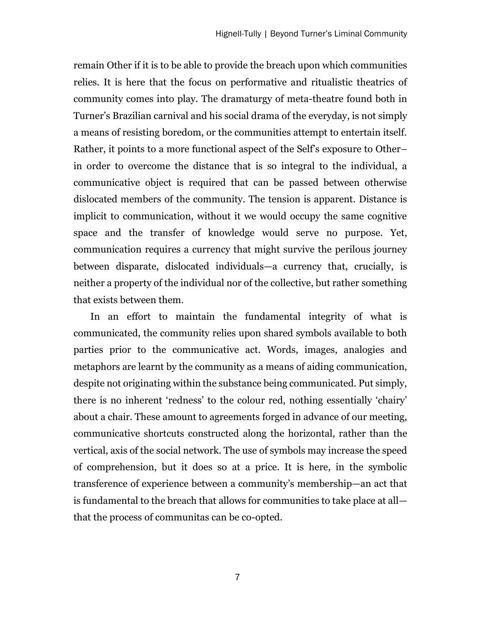remain Other if it is to be able to provide the breach upon which communities relies. It is here that the focus on performative and ritualistic theatrics of community comes into play. The dramaturgy of meta-theatre found both in Turner's Brazilian carnival and his social drama of the everyday, is not simply a means of resisting boredom, or the communities attempt to entertain itself. Rather, it points to a more functional aspect of the Self's exposure to Other– in order to overcome the distance that is so integral to the individual, a communicative object is required that can be passed between otherwise dislocated members of the community. The tension is apparent. Distance is implicit to communication, without it we would occupy the same cognitive space and the transfer of knowledge would serve no purpose. Yet, communication requires a currency that might survive the perilous journey between disparate, dislocated individuals—a currency that, crucially, is neither a property of the individual nor of the collective, but rather something that exists between them.

In an effort to maintain the fundamental integrity of what is communicated, the community relies upon shared symbols available to both parties prior to the communicative act. Words, images, analogies and metaphors are learnt by the community as a means of aiding communication, despite not originating within the substance being communicated. Put simply, there is no inherent 'redness' to the colour red, nothing essentially 'chairy' about a chair. These amount to agreements forged in advance of our meeting, communicative shortcuts constructed along the horizontal, rather than the vertical, axis of the social network. The use of symbols may increase the speed of comprehension, but it does so at a price. It is here, in the symbolic transference of experience between a community's membership—an act that is fundamental to the breach that allows for communities to take place at all that the process of communitas can be co-opted.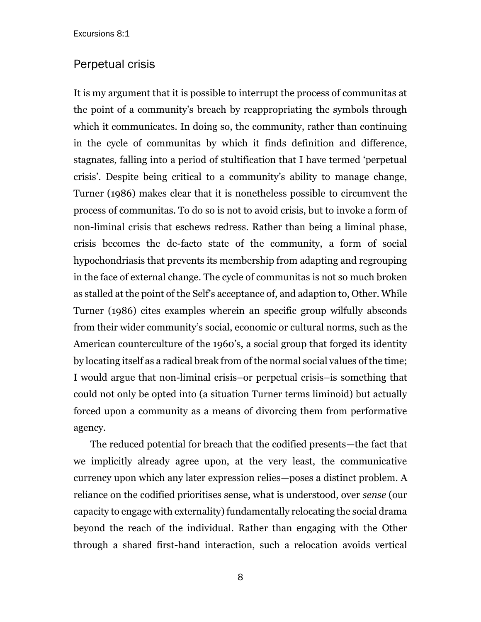#### Perpetual crisis

It is my argument that it is possible to interrupt the process of communitas at the point of a community's breach by reappropriating the symbols through which it communicates. In doing so, the community, rather than continuing in the cycle of communitas by which it finds definition and difference, stagnates, falling into a period of stultification that I have termed 'perpetual crisis'. Despite being critical to a community's ability to manage change, Turner (1986) makes clear that it is nonetheless possible to circumvent the process of communitas. To do so is not to avoid crisis, but to invoke a form of non-liminal crisis that eschews redress. Rather than being a liminal phase, crisis becomes the de-facto state of the community, a form of social hypochondriasis that prevents its membership from adapting and regrouping in the face of external change. The cycle of communitas is not so much broken as stalled at the point of the Self's acceptance of, and adaption to, Other. While Turner (1986) cites examples wherein an specific group wilfully absconds from their wider community's social, economic or cultural norms, such as the American counterculture of the 1960's, a social group that forged its identity by locating itself as a radical break from of the normal social values of the time; I would argue that non-liminal crisis–or perpetual crisis–is something that could not only be opted into (a situation Turner terms liminoid) but actually forced upon a community as a means of divorcing them from performative agency.

The reduced potential for breach that the codified presents—the fact that we implicitly already agree upon, at the very least, the communicative currency upon which any later expression relies—poses a distinct problem. A reliance on the codified prioritises sense, what is understood, over *sense* (our capacity to engage with externality) fundamentally relocating the social drama beyond the reach of the individual. Rather than engaging with the Other through a shared first-hand interaction, such a relocation avoids vertical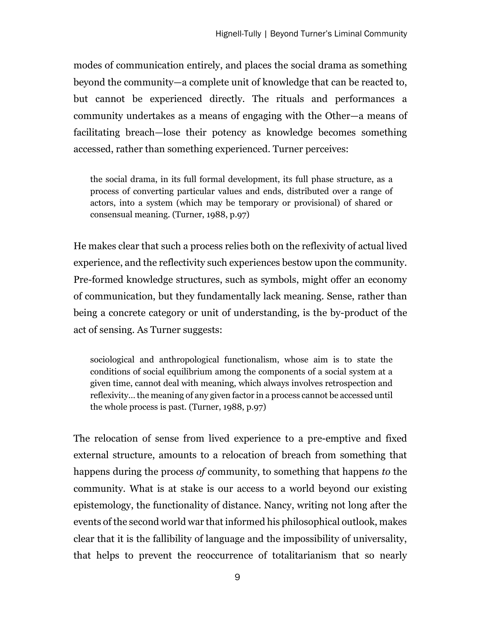modes of communication entirely, and places the social drama as something beyond the community—a complete unit of knowledge that can be reacted to, but cannot be experienced directly. The rituals and performances a community undertakes as a means of engaging with the Other—a means of facilitating breach—lose their potency as knowledge becomes something accessed, rather than something experienced. Turner perceives:

the social drama, in its full formal development, its full phase structure, as a process of converting particular values and ends, distributed over a range of actors, into a system (which may be temporary or provisional) of shared or consensual meaning. (Turner, 1988, p.97)

He makes clear that such a process relies both on the reflexivity of actual lived experience, and the reflectivity such experiences bestow upon the community. Pre-formed knowledge structures, such as symbols, might offer an economy of communication, but they fundamentally lack meaning. Sense, rather than being a concrete category or unit of understanding, is the by-product of the act of sensing. As Turner suggests:

sociological and anthropological functionalism, whose aim is to state the conditions of social equilibrium among the components of a social system at a given time, cannot deal with meaning, which always involves retrospection and reflexivity… the meaning of any given factor in a process cannot be accessed until the whole process is past. (Turner, 1988, p.97)

The relocation of sense from lived experience to a pre-emptive and fixed external structure, amounts to a relocation of breach from something that happens during the process *of* community, to something that happens *to* the community. What is at stake is our access to a world beyond our existing epistemology, the functionality of distance. Nancy, writing not long after the events of the second world war that informed his philosophical outlook, makes clear that it is the fallibility of language and the impossibility of universality, that helps to prevent the reoccurrence of totalitarianism that so nearly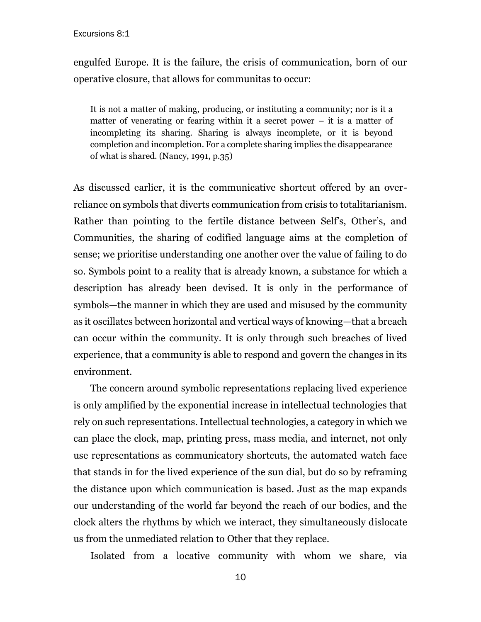engulfed Europe. It is the failure, the crisis of communication, born of our operative closure, that allows for communitas to occur:

It is not a matter of making, producing, or instituting a community; nor is it a matter of venerating or fearing within it a secret power – it is a matter of incompleting its sharing. Sharing is always incomplete, or it is beyond completion and incompletion. For a complete sharing implies the disappearance of what is shared. (Nancy, 1991, p.35)

As discussed earlier, it is the communicative shortcut offered by an overreliance on symbols that diverts communication from crisis to totalitarianism. Rather than pointing to the fertile distance between Self's, Other's, and Communities, the sharing of codified language aims at the completion of sense; we prioritise understanding one another over the value of failing to do so. Symbols point to a reality that is already known, a substance for which a description has already been devised. It is only in the performance of symbols—the manner in which they are used and misused by the community as it oscillates between horizontal and vertical ways of knowing—that a breach can occur within the community. It is only through such breaches of lived experience, that a community is able to respond and govern the changes in its environment.

The concern around symbolic representations replacing lived experience is only amplified by the exponential increase in intellectual technologies that rely on such representations. Intellectual technologies, a category in which we can place the clock, map, printing press, mass media, and internet, not only use representations as communicatory shortcuts, the automated watch face that stands in for the lived experience of the sun dial, but do so by reframing the distance upon which communication is based. Just as the map expands our understanding of the world far beyond the reach of our bodies, and the clock alters the rhythms by which we interact, they simultaneously dislocate us from the unmediated relation to Other that they replace.

Isolated from a locative community with whom we share, via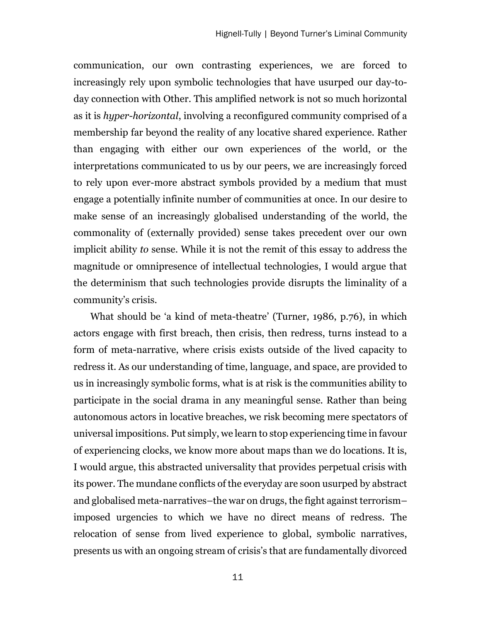communication, our own contrasting experiences, we are forced to increasingly rely upon symbolic technologies that have usurped our day-today connection with Other. This amplified network is not so much horizontal as it is *hyper-horizontal*, involving a reconfigured community comprised of a membership far beyond the reality of any locative shared experience. Rather than engaging with either our own experiences of the world, or the interpretations communicated to us by our peers, we are increasingly forced to rely upon ever-more abstract symbols provided by a medium that must engage a potentially infinite number of communities at once. In our desire to make sense of an increasingly globalised understanding of the world, the commonality of (externally provided) sense takes precedent over our own implicit ability *to* sense. While it is not the remit of this essay to address the magnitude or omnipresence of intellectual technologies, I would argue that the determinism that such technologies provide disrupts the liminality of a community's crisis.

What should be 'a kind of meta-theatre' (Turner, 1986, p.76), in which actors engage with first breach, then crisis, then redress, turns instead to a form of meta-narrative, where crisis exists outside of the lived capacity to redress it. As our understanding of time, language, and space, are provided to us in increasingly symbolic forms, what is at risk is the communities ability to participate in the social drama in any meaningful sense. Rather than being autonomous actors in locative breaches, we risk becoming mere spectators of universal impositions. Put simply, we learn to stop experiencing time in favour of experiencing clocks, we know more about maps than we do locations. It is, I would argue, this abstracted universality that provides perpetual crisis with its power. The mundane conflicts of the everyday are soon usurped by abstract and globalised meta-narratives–the war on drugs, the fight against terrorism– imposed urgencies to which we have no direct means of redress. The relocation of sense from lived experience to global, symbolic narratives, presents us with an ongoing stream of crisis's that are fundamentally divorced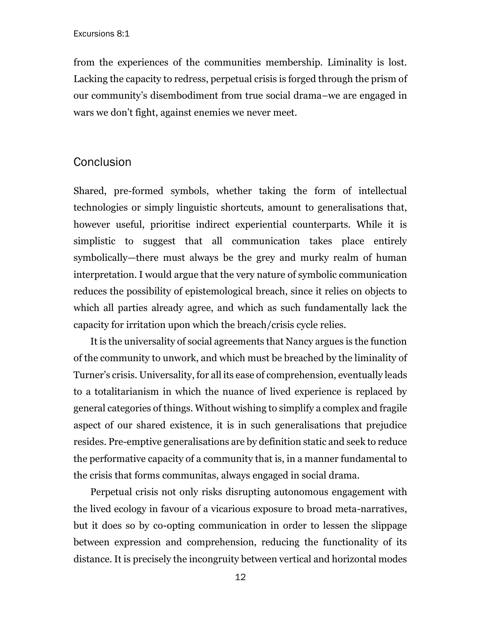from the experiences of the communities membership. Liminality is lost. Lacking the capacity to redress, perpetual crisis is forged through the prism of our community's disembodiment from true social drama–we are engaged in wars we don't fight, against enemies we never meet.

#### **Conclusion**

Shared, pre-formed symbols, whether taking the form of intellectual technologies or simply linguistic shortcuts, amount to generalisations that, however useful, prioritise indirect experiential counterparts. While it is simplistic to suggest that all communication takes place entirely symbolically—there must always be the grey and murky realm of human interpretation. I would argue that the very nature of symbolic communication reduces the possibility of epistemological breach, since it relies on objects to which all parties already agree, and which as such fundamentally lack the capacity for irritation upon which the breach/crisis cycle relies.

It is the universality of social agreements that Nancy argues is the function of the community to unwork, and which must be breached by the liminality of Turner's crisis. Universality, for all its ease of comprehension, eventually leads to a totalitarianism in which the nuance of lived experience is replaced by general categories of things. Without wishing to simplify a complex and fragile aspect of our shared existence, it is in such generalisations that prejudice resides. Pre-emptive generalisations are by definition static and seek to reduce the performative capacity of a community that is, in a manner fundamental to the crisis that forms communitas, always engaged in social drama.

Perpetual crisis not only risks disrupting autonomous engagement with the lived ecology in favour of a vicarious exposure to broad meta-narratives, but it does so by co-opting communication in order to lessen the slippage between expression and comprehension, reducing the functionality of its distance. It is precisely the incongruity between vertical and horizontal modes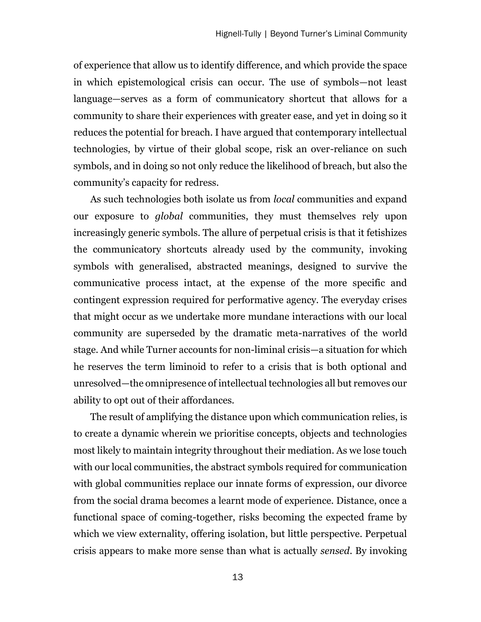of experience that allow us to identify difference, and which provide the space in which epistemological crisis can occur. The use of symbols—not least language—serves as a form of communicatory shortcut that allows for a community to share their experiences with greater ease, and yet in doing so it reduces the potential for breach. I have argued that contemporary intellectual technologies, by virtue of their global scope, risk an over-reliance on such symbols, and in doing so not only reduce the likelihood of breach, but also the community's capacity for redress.

As such technologies both isolate us from *local* communities and expand our exposure to *global* communities, they must themselves rely upon increasingly generic symbols. The allure of perpetual crisis is that it fetishizes the communicatory shortcuts already used by the community, invoking symbols with generalised, abstracted meanings, designed to survive the communicative process intact, at the expense of the more specific and contingent expression required for performative agency. The everyday crises that might occur as we undertake more mundane interactions with our local community are superseded by the dramatic meta-narratives of the world stage. And while Turner accounts for non-liminal crisis—a situation for which he reserves the term liminoid to refer to a crisis that is both optional and unresolved—the omnipresence of intellectual technologies all but removes our ability to opt out of their affordances.

The result of amplifying the distance upon which communication relies, is to create a dynamic wherein we prioritise concepts, objects and technologies most likely to maintain integrity throughout their mediation. As we lose touch with our local communities, the abstract symbols required for communication with global communities replace our innate forms of expression, our divorce from the social drama becomes a learnt mode of experience. Distance, once a functional space of coming-together, risks becoming the expected frame by which we view externality, offering isolation, but little perspective. Perpetual crisis appears to make more sense than what is actually *sensed*. By invoking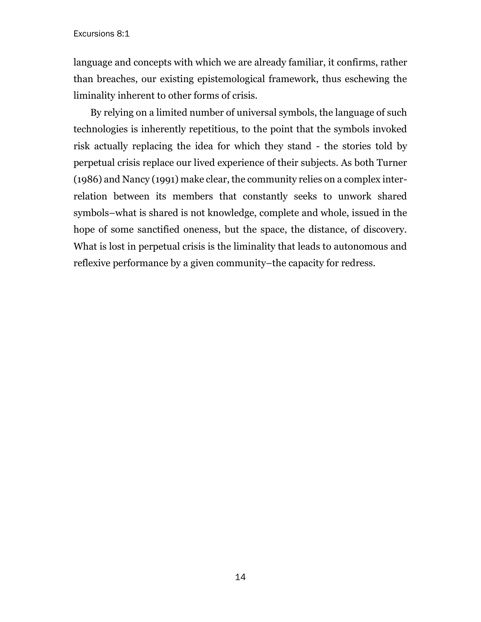language and concepts with which we are already familiar, it confirms, rather than breaches, our existing epistemological framework, thus eschewing the liminality inherent to other forms of crisis.

By relying on a limited number of universal symbols, the language of such technologies is inherently repetitious, to the point that the symbols invoked risk actually replacing the idea for which they stand - the stories told by perpetual crisis replace our lived experience of their subjects. As both Turner (1986) and Nancy (1991) make clear, the community relies on a complex interrelation between its members that constantly seeks to unwork shared symbols–what is shared is not knowledge, complete and whole, issued in the hope of some sanctified oneness, but the space, the distance, of discovery. What is lost in perpetual crisis is the liminality that leads to autonomous and reflexive performance by a given community–the capacity for redress.